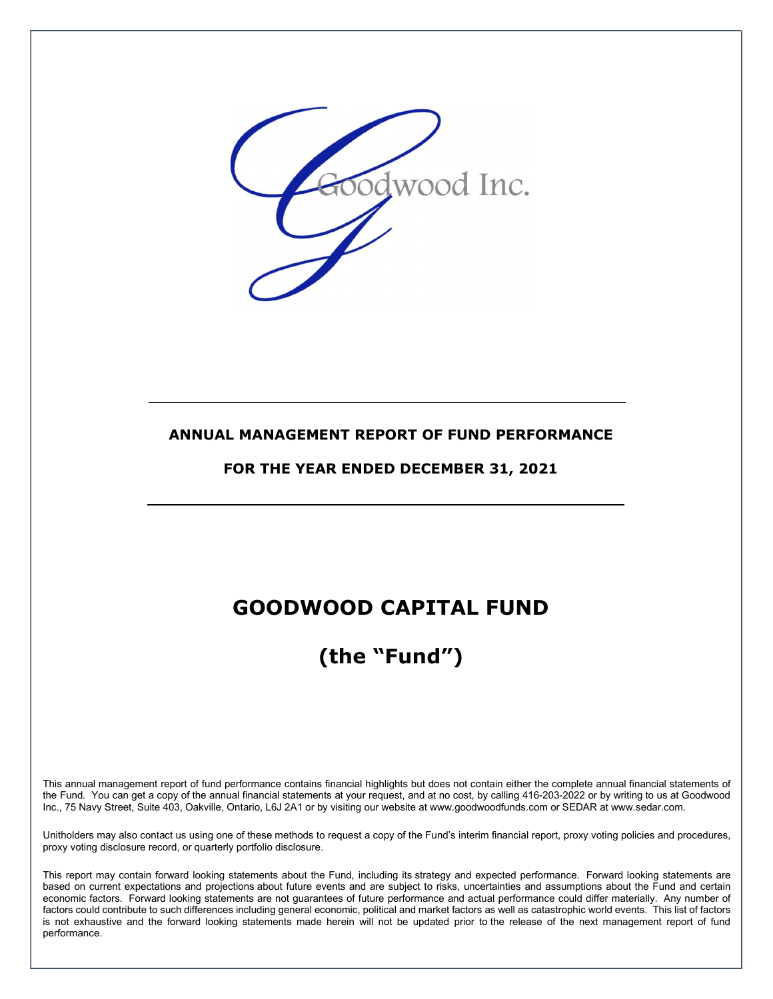

## ANNUAL MANAGEMENT REPORT OF FUND PERFORMANCE

FOR THE YEAR ENDED DECEMBER 31, 2021

## GOODWOOD CAPITAL FUND

# (the "Fund")

This annual management report of fund performance contains financial highlights but does not contain either the complete annual financial statements of the Fund. You can get a copy of the annual financial statements at your request, and at no cost, by calling 416-203-2022 or by writing to us at Goodwood Inc., 75 Navy Street, Suite 403, Oakville, Ontario, L6J 2A1 or by visiting our website at www.goodwoodfunds.com or SEDAR at www.sedar.com.

Unitholders may also contact us using one of these methods to request a copy of the Fund's interim financial report, proxy voting policies and procedures, proxy voting disclosure record, or quarterly portfolio disclosure.

This report may contain forward looking statements about the Fund, including its strategy and expected performance. Forward looking statements are based on current expectations and projections about future events and are subject to risks, uncertainties and assumptions about the Fund and certain economic factors. Forward looking statements are not guarantees of future performance and actual performance could differ materially. Any number of factors could contribute to such differences including general economic, political and market factors as well as catastrophic world events. This list of factors is not exhaustive and the forward looking statements made herein will not be updated prior to the release of the next management report of fund performance.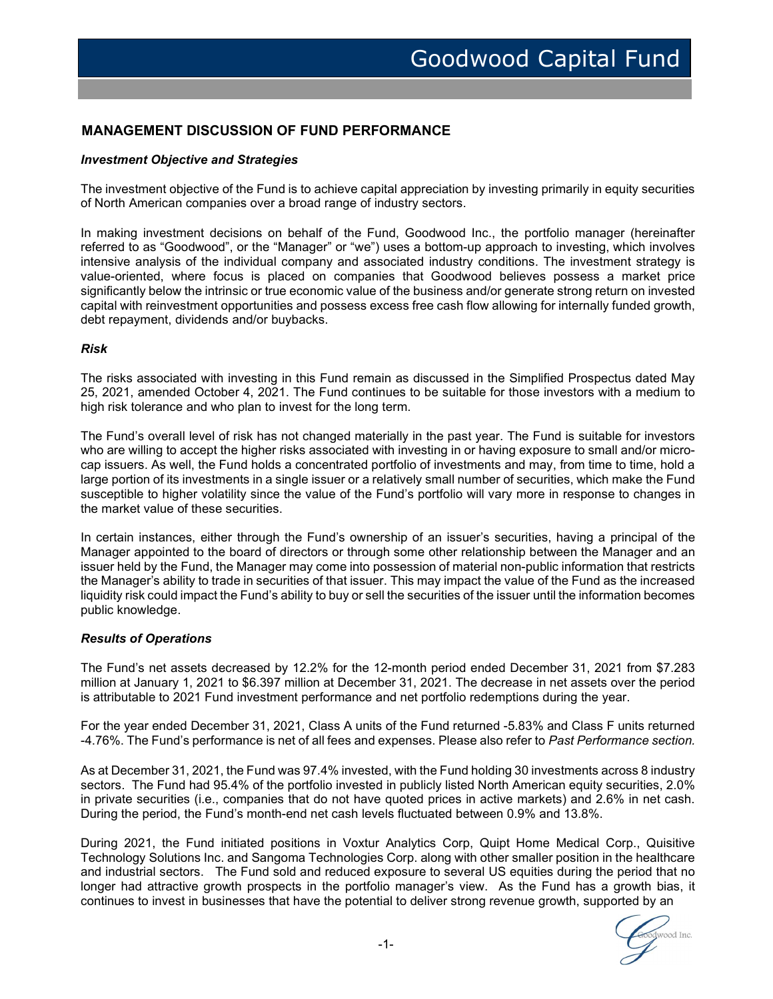## MANAGEMENT DISCUSSION OF FUND PERFORMANCE

#### Investment Objective and Strategies

The investment objective of the Fund is to achieve capital appreciation by investing primarily in equity securities of North American companies over a broad range of industry sectors.

 In making investment decisions on behalf of the Fund, Goodwood Inc., the portfolio manager (hereinafter referred to as "Goodwood", or the "Manager" or "we") uses a bottom-up approach to investing, which involves intensive analysis of the individual company and associated industry conditions. The investment strategy is value-oriented, where focus is placed on companies that Goodwood believes possess a market price significantly below the intrinsic or true economic value of the business and/or generate strong return on invested capital with reinvestment opportunities and possess excess free cash flow allowing for internally funded growth, debt repayment, dividends and/or buybacks.

#### Risk

The risks associated with investing in this Fund remain as discussed in the Simplified Prospectus dated May 25, 2021, amended October 4, 2021. The Fund continues to be suitable for those investors with a medium to high risk tolerance and who plan to invest for the long term.

The Fund's overall level of risk has not changed materially in the past year. The Fund is suitable for investors who are willing to accept the higher risks associated with investing in or having exposure to small and/or microcap issuers. As well, the Fund holds a concentrated portfolio of investments and may, from time to time, hold a large portion of its investments in a single issuer or a relatively small number of securities, which make the Fund susceptible to higher volatility since the value of the Fund's portfolio will vary more in response to changes in the market value of these securities.

In certain instances, either through the Fund's ownership of an issuer's securities, having a principal of the Manager appointed to the board of directors or through some other relationship between the Manager and an issuer held by the Fund, the Manager may come into possession of material non-public information that restricts the Manager's ability to trade in securities of that issuer. This may impact the value of the Fund as the increased liquidity risk could impact the Fund's ability to buy or sell the securities of the issuer until the information becomes public knowledge.

#### Results of Operations

The Fund's net assets decreased by 12.2% for the 12-month period ended December 31, 2021 from \$7.283 million at January 1, 2021 to \$6.397 million at December 31, 2021. The decrease in net assets over the period is attributable to 2021 Fund investment performance and net portfolio redemptions during the year.

For the year ended December 31, 2021, Class A units of the Fund returned -5.83% and Class F units returned -4.76%. The Fund's performance is net of all fees and expenses. Please also refer to Past Performance section.

As at December 31, 2021, the Fund was 97.4% invested, with the Fund holding 30 investments across 8 industry sectors. The Fund had 95.4% of the portfolio invested in publicly listed North American equity securities, 2.0% in private securities (i.e., companies that do not have quoted prices in active markets) and 2.6% in net cash. During the period, the Fund's month-end net cash levels fluctuated between 0.9% and 13.8%.

During 2021, the Fund initiated positions in Voxtur Analytics Corp, Quipt Home Medical Corp., Quisitive Technology Solutions Inc. and Sangoma Technologies Corp. along with other smaller position in the healthcare and industrial sectors. The Fund sold and reduced exposure to several US equities during the period that no longer had attractive growth prospects in the portfolio manager's view. As the Fund has a growth bias, it continues to invest in businesses that have the potential to deliver strong revenue growth, supported by an

bodwood Inc.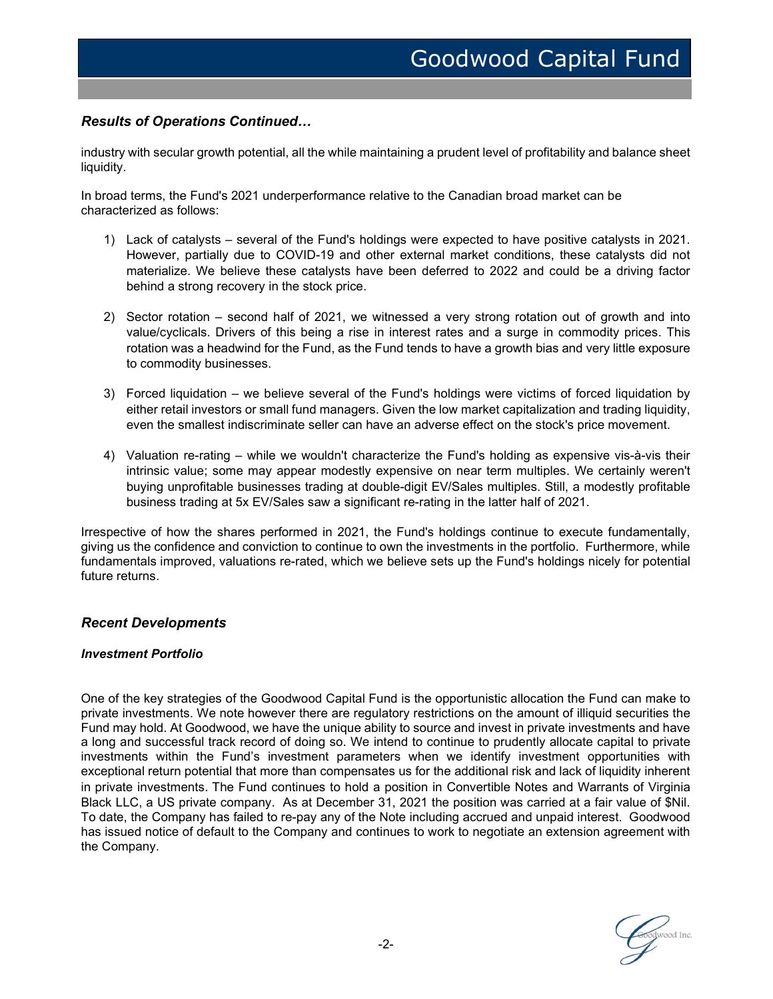## Results of Operations Continued…

industry with secular growth potential, all the while maintaining a prudent level of profitability and balance sheet liquidity.

In broad terms, the Fund's 2021 underperformance relative to the Canadian broad market can be characterized as follows:

- 1) Lack of catalysts several of the Fund's holdings were expected to have positive catalysts in 2021. However, partially due to COVID-19 and other external market conditions, these catalysts did not materialize. We believe these catalysts have been deferred to 2022 and could be a driving factor behind a strong recovery in the stock price.
- 2) Sector rotation second half of 2021, we witnessed a very strong rotation out of growth and into value/cyclicals. Drivers of this being a rise in interest rates and a surge in commodity prices. This rotation was a headwind for the Fund, as the Fund tends to have a growth bias and very little exposure to commodity businesses.
- 3) Forced liquidation we believe several of the Fund's holdings were victims of forced liquidation by either retail investors or small fund managers. Given the low market capitalization and trading liquidity, even the smallest indiscriminate seller can have an adverse effect on the stock's price movement.
- 4) Valuation re-rating while we wouldn't characterize the Fund's holding as expensive vis-à-vis their intrinsic value; some may appear modestly expensive on near term multiples. We certainly weren't buying unprofitable businesses trading at double-digit EV/Sales multiples. Still, a modestly profitable business trading at 5x EV/Sales saw a significant re-rating in the latter half of 2021.

Irrespective of how the shares performed in 2021, the Fund's holdings continue to execute fundamentally, giving us the confidence and conviction to continue to own the investments in the portfolio. Furthermore, while fundamentals improved, valuations re-rated, which we believe sets up the Fund's holdings nicely for potential future returns.

#### Recent Developments

#### Investment Portfolio

One of the key strategies of the Goodwood Capital Fund is the opportunistic allocation the Fund can make to private investments. We note however there are regulatory restrictions on the amount of illiquid securities the Fund may hold. At Goodwood, we have the unique ability to source and invest in private investments and have a long and successful track record of doing so. We intend to continue to prudently allocate capital to private investments within the Fund's investment parameters when we identify investment opportunities with exceptional return potential that more than compensates us for the additional risk and lack of liquidity inherent in private investments. The Fund continues to hold a position in Convertible Notes and Warrants of Virginia Black LLC, a US private company. As at December 31, 2021 the position was carried at a fair value of \$Nil. To date, the Company has failed to re-pay any of the Note including accrued and unpaid interest. Goodwood has issued notice of default to the Company and continues to work to negotiate an extension agreement with the Company.

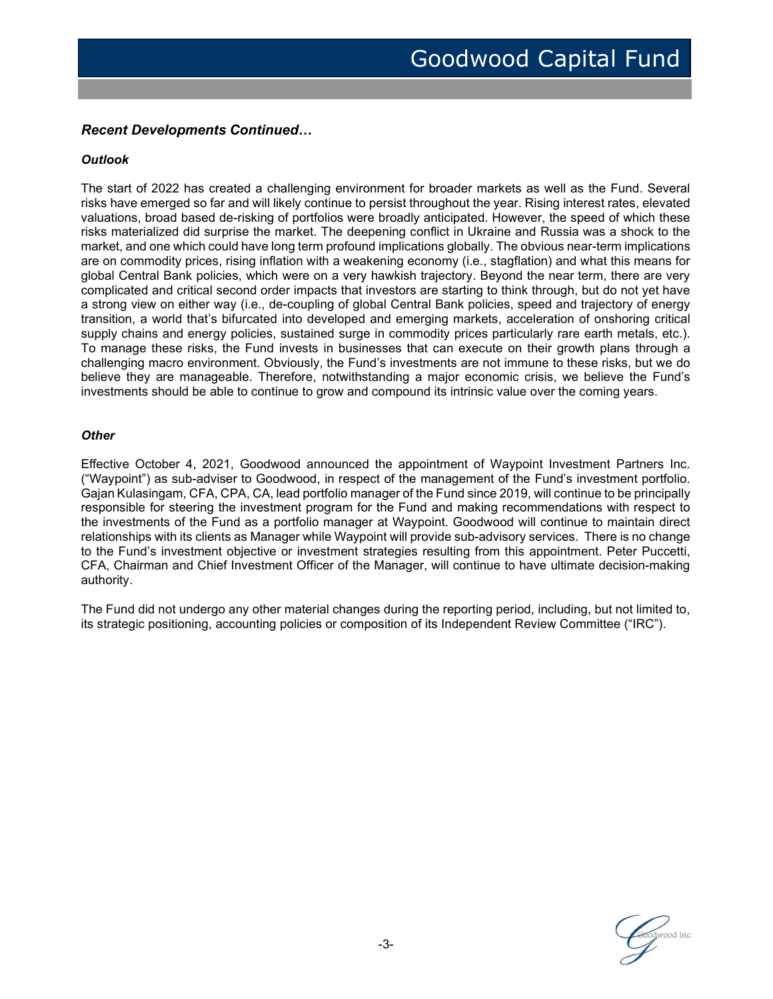## Recent Developments Continued…

#### **Outlook**

The start of 2022 has created a challenging environment for broader markets as well as the Fund. Several risks have emerged so far and will likely continue to persist throughout the year. Rising interest rates, elevated valuations, broad based de-risking of portfolios were broadly anticipated. However, the speed of which these risks materialized did surprise the market. The deepening conflict in Ukraine and Russia was a shock to the market, and one which could have long term profound implications globally. The obvious near-term implications are on commodity prices, rising inflation with a weakening economy (i.e., stagflation) and what this means for global Central Bank policies, which were on a very hawkish trajectory. Beyond the near term, there are very complicated and critical second order impacts that investors are starting to think through, but do not yet have a strong view on either way (i.e., de-coupling of global Central Bank policies, speed and trajectory of energy transition, a world that's bifurcated into developed and emerging markets, acceleration of onshoring critical supply chains and energy policies, sustained surge in commodity prices particularly rare earth metals, etc.). To manage these risks, the Fund invests in businesses that can execute on their growth plans through a challenging macro environment. Obviously, the Fund's investments are not immune to these risks, but we do believe they are manageable. Therefore, notwithstanding a major economic crisis, we believe the Fund's investments should be able to continue to grow and compound its intrinsic value over the coming years.

#### **Other**

Effective October 4, 2021, Goodwood announced the appointment of Waypoint Investment Partners Inc. ("Waypoint") as sub-adviser to Goodwood, in respect of the management of the Fund's investment portfolio. Gajan Kulasingam, CFA, CPA, CA, lead portfolio manager of the Fund since 2019, will continue to be principally responsible for steering the investment program for the Fund and making recommendations with respect to the investments of the Fund as a portfolio manager at Waypoint. Goodwood will continue to maintain direct relationships with its clients as Manager while Waypoint will provide sub-advisory services. There is no change to the Fund's investment objective or investment strategies resulting from this appointment. Peter Puccetti, CFA, Chairman and Chief Investment Officer of the Manager, will continue to have ultimate decision-making authority.

The Fund did not undergo any other material changes during the reporting period, including, but not limited to, its strategic positioning, accounting policies or composition of its Independent Review Committee ("IRC").

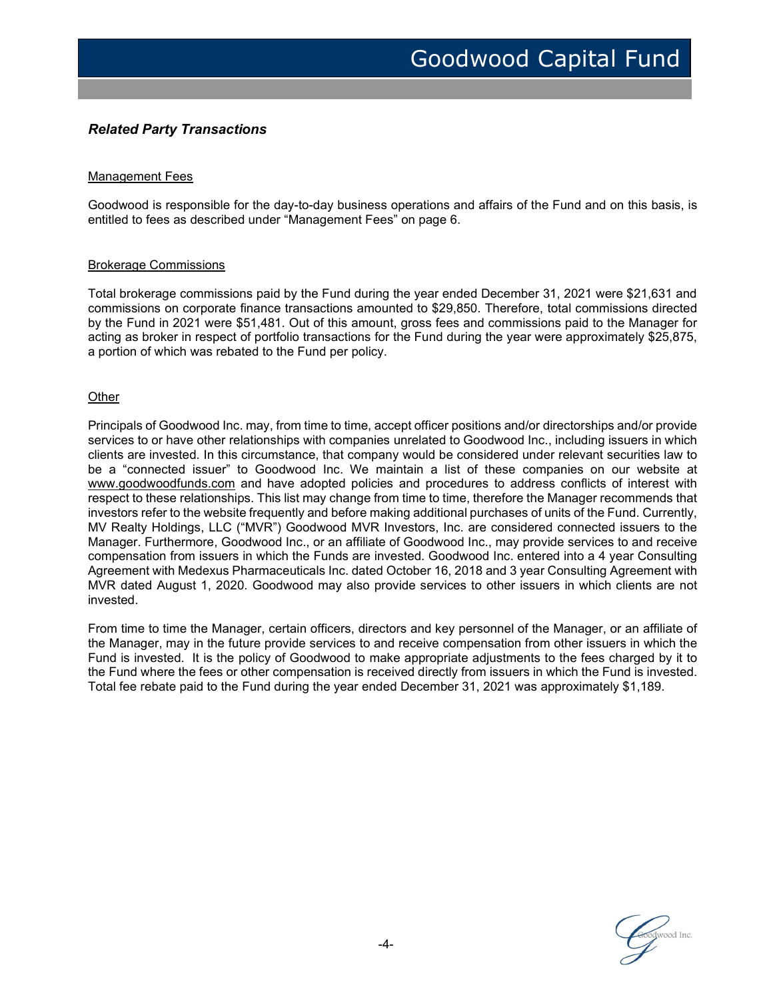## Related Party Transactions

#### Management Fees

Goodwood is responsible for the day-to-day business operations and affairs of the Fund and on this basis, is entitled to fees as described under "Management Fees" on page 6.

#### Brokerage Commissions

Total brokerage commissions paid by the Fund during the year ended December 31, 2021 were \$21,631 and commissions on corporate finance transactions amounted to \$29,850. Therefore, total commissions directed by the Fund in 2021 were \$51,481. Out of this amount, gross fees and commissions paid to the Manager for acting as broker in respect of portfolio transactions for the Fund during the year were approximately \$25,875, a portion of which was rebated to the Fund per policy.

#### **Other**

Principals of Goodwood Inc. may, from time to time, accept officer positions and/or directorships and/or provide services to or have other relationships with companies unrelated to Goodwood Inc., including issuers in which clients are invested. In this circumstance, that company would be considered under relevant securities law to be a "connected issuer" to Goodwood Inc. We maintain a list of these companies on our website at www.goodwoodfunds.com and have adopted policies and procedures to address conflicts of interest with respect to these relationships. This list may change from time to time, therefore the Manager recommends that investors refer to the website frequently and before making additional purchases of units of the Fund. Currently, MV Realty Holdings, LLC ("MVR") Goodwood MVR Investors, Inc. are considered connected issuers to the Manager. Furthermore, Goodwood Inc., or an affiliate of Goodwood Inc., may provide services to and receive compensation from issuers in which the Funds are invested. Goodwood Inc. entered into a 4 year Consulting Agreement with Medexus Pharmaceuticals Inc. dated October 16, 2018 and 3 year Consulting Agreement with MVR dated August 1, 2020. Goodwood may also provide services to other issuers in which clients are not invested.

From time to time the Manager, certain officers, directors and key personnel of the Manager, or an affiliate of the Manager, may in the future provide services to and receive compensation from other issuers in which the Fund is invested. It is the policy of Goodwood to make appropriate adjustments to the fees charged by it to the Fund where the fees or other compensation is received directly from issuers in which the Fund is invested. Total fee rebate paid to the Fund during the year ended December 31, 2021 was approximately \$1,189.

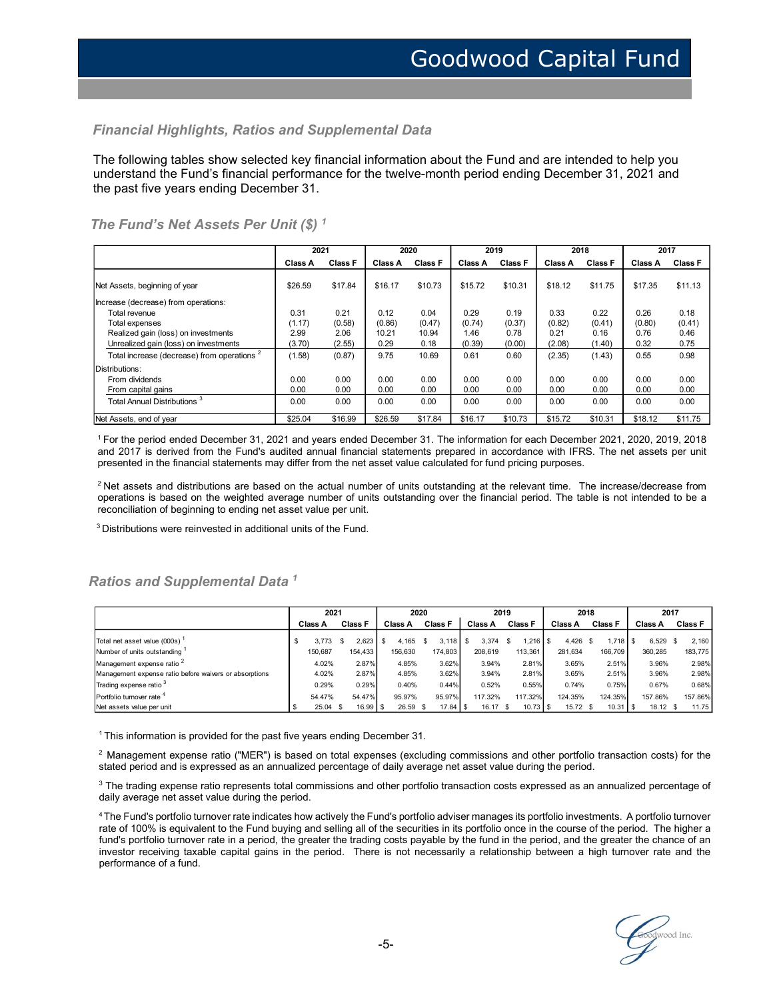#### Financial Highlights, Ratios and Supplemental Data

## The Fund's Net Assets Per Unit  $(\$)$ <sup>1</sup>

|                                                                                                                                                                                                                                                                                                                                                                                                                                                                                                                                                                                                                                                                                             |                |                                            |                       |                          |                        |                  |                           | <b>Goodwood Capital Fund</b> |                          |                        |
|---------------------------------------------------------------------------------------------------------------------------------------------------------------------------------------------------------------------------------------------------------------------------------------------------------------------------------------------------------------------------------------------------------------------------------------------------------------------------------------------------------------------------------------------------------------------------------------------------------------------------------------------------------------------------------------------|----------------|--------------------------------------------|-----------------------|--------------------------|------------------------|------------------|---------------------------|------------------------------|--------------------------|------------------------|
|                                                                                                                                                                                                                                                                                                                                                                                                                                                                                                                                                                                                                                                                                             |                |                                            |                       |                          |                        |                  |                           |                              |                          |                        |
| <b>Financial Highlights, Ratios and Supplemental Data</b>                                                                                                                                                                                                                                                                                                                                                                                                                                                                                                                                                                                                                                   |                |                                            |                       |                          |                        |                  |                           |                              |                          |                        |
|                                                                                                                                                                                                                                                                                                                                                                                                                                                                                                                                                                                                                                                                                             |                |                                            |                       |                          |                        |                  |                           |                              |                          |                        |
| The following tables show selected key financial information about the Fund and are intended to help you<br>understand the Fund's financial performance for the twelve-month period ending December 31, 2021 and                                                                                                                                                                                                                                                                                                                                                                                                                                                                            |                |                                            |                       |                          |                        |                  |                           |                              |                          |                        |
| the past five years ending December 31.                                                                                                                                                                                                                                                                                                                                                                                                                                                                                                                                                                                                                                                     |                |                                            |                       |                          |                        |                  |                           |                              |                          |                        |
|                                                                                                                                                                                                                                                                                                                                                                                                                                                                                                                                                                                                                                                                                             |                |                                            |                       |                          |                        |                  |                           |                              |                          |                        |
| The Fund's Net Assets Per Unit (\$) $^\text{1}$                                                                                                                                                                                                                                                                                                                                                                                                                                                                                                                                                                                                                                             |                |                                            |                       |                          |                        |                  |                           |                              |                          |                        |
|                                                                                                                                                                                                                                                                                                                                                                                                                                                                                                                                                                                                                                                                                             |                | 2021                                       |                       | 2020                     |                        | 2019             |                           | 2018                         | 2017                     |                        |
|                                                                                                                                                                                                                                                                                                                                                                                                                                                                                                                                                                                                                                                                                             | Class A        | <b>Class F</b>                             | Class A               | <b>Class F</b>           |                        | Class A Class F  |                           | Class A Class F              | Class A                  | <b>Class F</b>         |
| Net Assets, beginning of year                                                                                                                                                                                                                                                                                                                                                                                                                                                                                                                                                                                                                                                               | \$26.59        | \$17.84                                    | \$16.17               | \$10.73                  | \$15.72                | \$10.31          | \$18.12                   | \$11.75                      | \$17.35                  | \$11.13                |
| Increase (decrease) from operations:<br>Total revenue                                                                                                                                                                                                                                                                                                                                                                                                                                                                                                                                                                                                                                       | 0.31           | 0.21                                       | 0.12                  | 0.04                     | 0.29                   | 0.19             | 0.33                      | 0.22                         | 0.26                     | 0.18                   |
| Total expenses                                                                                                                                                                                                                                                                                                                                                                                                                                                                                                                                                                                                                                                                              | (1.17)         | (0.58)                                     | (0.86)                | (0.47)                   | (0.74)                 | (0.37)           | (0.82)                    | (0.41)                       | (0.80)                   | (0.41)                 |
| Realized gain (loss) on investments<br>Unrealized gain (loss) on investments                                                                                                                                                                                                                                                                                                                                                                                                                                                                                                                                                                                                                | 2.99<br>(3.70) | 2.06<br>(2.55)                             | 10.21<br>0.29         | 10.94<br>0.18            | 1.46<br>(0.39)         | 0.78<br>(0.00)   | 0.21<br>(2.08)            | 0.16<br>(1.40)               | 0.76<br>0.32             | 0.46<br>0.75           |
| Total increase (decrease) from operations <sup>2</sup>                                                                                                                                                                                                                                                                                                                                                                                                                                                                                                                                                                                                                                      | (1.58)         | (0.87)                                     | 9.75                  | 10.69                    | 0.61                   | 0.60             | (2.35)                    | (1.43)                       | 0.55                     | 0.98                   |
| Distributions:                                                                                                                                                                                                                                                                                                                                                                                                                                                                                                                                                                                                                                                                              |                |                                            |                       |                          |                        |                  |                           |                              |                          |                        |
| From dividends<br>From capital gains                                                                                                                                                                                                                                                                                                                                                                                                                                                                                                                                                                                                                                                        | 0.00<br>0.00   | 0.00<br>0.00                               | 0.00<br>0.00          | 0.00<br>0.00             | 0.00<br>0.00           | 0.00<br>0.00     | 0.00<br>0.00              | 0.00<br>0.00                 | 0.00<br>0.00             | 0.00<br>0.00           |
| Total Annual Distributions <sup>3</sup>                                                                                                                                                                                                                                                                                                                                                                                                                                                                                                                                                                                                                                                     | 0.00           | 0.00                                       | 0.00                  | 0.00                     | 0.00                   | 0.00             | 0.00                      | 0.00                         | 0.00                     | 0.00                   |
| Net Assets, end of year                                                                                                                                                                                                                                                                                                                                                                                                                                                                                                                                                                                                                                                                     | \$25.04        | \$16.99                                    | \$26.59               | \$17.84                  | \$16.17                | \$10.73          | \$15.72                   | \$10.31                      | \$18.12                  | \$11.75                |
| <sup>1</sup> For the period ended December 31, 2021 and years ended December 31. The information for each December 2021, 2020, 2019, 2018<br>and 2017 is derived from the Fund's audited annual financial statements prepared in accordance with IFRS. The net assets per unit<br>presented in the financial statements may differ from the net asset value calculated for fund pricing purposes.<br><sup>2</sup> Net assets and distributions are based on the actual number of units outstanding at the relevant time. The increase/decrease from<br>operations is based on the weighted average number of units outstanding over the financial period. The table is not intended to be a |                |                                            |                       |                          |                        |                  |                           |                              |                          |                        |
| reconciliation of beginning to ending net asset value per unit.                                                                                                                                                                                                                                                                                                                                                                                                                                                                                                                                                                                                                             |                |                                            |                       |                          |                        |                  |                           |                              |                          |                        |
| <sup>3</sup> Distributions were reinvested in additional units of the Fund.                                                                                                                                                                                                                                                                                                                                                                                                                                                                                                                                                                                                                 |                |                                            |                       |                          |                        |                  |                           |                              |                          |                        |
|                                                                                                                                                                                                                                                                                                                                                                                                                                                                                                                                                                                                                                                                                             |                |                                            |                       |                          |                        |                  |                           |                              |                          |                        |
| Ratios and Supplemental Data <sup>1</sup>                                                                                                                                                                                                                                                                                                                                                                                                                                                                                                                                                                                                                                                   |                |                                            |                       |                          |                        |                  |                           |                              |                          |                        |
|                                                                                                                                                                                                                                                                                                                                                                                                                                                                                                                                                                                                                                                                                             |                | 2021                                       |                       | 2020                     |                        | 2019             |                           | 2018                         |                          | 2017                   |
|                                                                                                                                                                                                                                                                                                                                                                                                                                                                                                                                                                                                                                                                                             | Class A        | Class F                                    | Class A               | Class F                  | <b>Class A</b>         | <b>Class F</b>   | Class A                   | <b>Class F</b>               |                          | Class A Class F        |
| Total net asset value (000s)<br>Number of units outstanding                                                                                                                                                                                                                                                                                                                                                                                                                                                                                                                                                                                                                                 | \$             | 2,623<br>3,773<br>\$<br>154,433<br>150,687 | 4,165<br>s<br>156,630 | -S<br>3,118<br>174,803   | $$3,374$ \$<br>208,619 | 1,216<br>113,361 | 4,426 \$<br>\$<br>281,634 | 1,718<br>166,709             | l \$<br>6,529<br>360,285 | 2,160<br>S.<br>183,775 |
| Management expense ratio <sup>2</sup>                                                                                                                                                                                                                                                                                                                                                                                                                                                                                                                                                                                                                                                       |                | 2.87%<br>4.02%                             |                       | 4.85%<br>3.62%           | 3.94%                  | 2.81%            | 3.65%                     | 2.51%                        | 3.96%                    | 2.98%                  |
| Management expense ratio before waivers or absorptions                                                                                                                                                                                                                                                                                                                                                                                                                                                                                                                                                                                                                                      |                | 2.87%<br>4.02%                             |                       | 3.62%<br>4.85%           | 3.94%                  | 2.81%            | 3.65%                     | 2.51%                        | 3.96%                    | 2.98%                  |
|                                                                                                                                                                                                                                                                                                                                                                                                                                                                                                                                                                                                                                                                                             |                |                                            |                       |                          |                        |                  |                           |                              |                          |                        |
| Trading expense ratio <sup>3</sup><br>Portfolio turnover rate 4                                                                                                                                                                                                                                                                                                                                                                                                                                                                                                                                                                                                                             |                | 0.29%<br>0.29%<br>54.47%<br>54.47%         | 95.97%                | 0.40%<br>0.44%<br>95.97% | 0.52%<br>117.32%       | 0.55%<br>117.32% | 0.74%<br>124.35%          | 0.75%<br>124.35%             | 0.67%<br>157.86%         | 0.68%<br>157.86%       |

## Ratios and Supplemental Data<sup>1</sup>

| Unrealized gain (loss) on investments                                                                                                                                                                                                                                                                                                                                                                                                                                                 |         | 2.06            |                 | 10.21                 |                 | 1.46    |                           | 0.21             | 0.16             | 0.76             | 0.46             |
|---------------------------------------------------------------------------------------------------------------------------------------------------------------------------------------------------------------------------------------------------------------------------------------------------------------------------------------------------------------------------------------------------------------------------------------------------------------------------------------|---------|-----------------|-----------------|-----------------------|-----------------|---------|---------------------------|------------------|------------------|------------------|------------------|
|                                                                                                                                                                                                                                                                                                                                                                                                                                                                                       | (3.70)  | (2.55)          |                 | 0.29                  | 0.18            | (0.39)  | (0.00)                    | (2.08)           | (1.40)           | 0.32             | 0.75             |
| Total increase (decrease) from operations <sup>2</sup>                                                                                                                                                                                                                                                                                                                                                                                                                                | (1.58)  | (0.87)          |                 | 9.75                  | 10.69           | 0.61    | 0.60                      | (2.35)           | (1.43)           | 0.55             | 0.98             |
| Distributions:                                                                                                                                                                                                                                                                                                                                                                                                                                                                        |         |                 |                 |                       |                 |         |                           |                  |                  |                  |                  |
| From dividends                                                                                                                                                                                                                                                                                                                                                                                                                                                                        | 0.00    | 0.00            |                 | 0.00                  | 0.00            | 0.00    | 0.00                      | 0.00             | 0.00             | 0.00             | 0.00             |
| From capital gains                                                                                                                                                                                                                                                                                                                                                                                                                                                                    | 0.00    | 0.00            |                 | 0.00                  | 0.00            | 0.00    | 0.00                      | 0.00             | 0.00             | 0.00             | 0.00             |
| Total Annual Distributions <sup>3</sup>                                                                                                                                                                                                                                                                                                                                                                                                                                               | 0.00    | 0.00            |                 | 0.00                  | 0.00            | 0.00    | 0.00                      | 0.00             | 0.00             | 0.00             | 0.00             |
| Net Assets, end of year                                                                                                                                                                                                                                                                                                                                                                                                                                                               | \$25.04 | \$16.99         |                 | \$26.59               | \$17.84         | \$16.17 | \$10.73                   | \$15.72          | \$10.31          | \$18.12          | \$11.75          |
| and 2017 is derived from the Fund's audited annual financial statements prepared in accordance with IFRS. The net assets per unit<br>presented in the financial statements may differ from the net asset value calculated for fund pricing purposes.                                                                                                                                                                                                                                  |         |                 |                 |                       |                 |         |                           |                  |                  |                  |                  |
| <sup>2</sup> Net assets and distributions are based on the actual number of units outstanding at the relevant time. The increase/decrease from<br>operations is based on the weighted average number of units outstanding over the financial period. The table is not intended to be a<br>reconciliation of beginning to ending net asset value per unit.<br><sup>3</sup> Distributions were reinvested in additional units of the Fund.<br>Ratios and Supplemental Data <sup>1</sup> |         |                 |                 |                       |                 |         |                           |                  |                  |                  |                  |
|                                                                                                                                                                                                                                                                                                                                                                                                                                                                                       |         | 2021            |                 |                       | 2020            |         | 2019                      |                  | 2018             |                  | 2017             |
|                                                                                                                                                                                                                                                                                                                                                                                                                                                                                       | Class A |                 | Class F         | <b>Class A</b>        | Class F         |         | Class A Class F           | Class A          | <b>Class F</b>   |                  | Class A Class F  |
|                                                                                                                                                                                                                                                                                                                                                                                                                                                                                       |         |                 |                 |                       |                 |         |                           |                  |                  |                  |                  |
| Total net asset value (000s)                                                                                                                                                                                                                                                                                                                                                                                                                                                          | \$      | 3,773<br>-S     | 2,623           | 4,165<br>$\mathbb{S}$ | 3,118<br>S.     | S.      | 3,374<br>1,216<br>\$      | 4,426<br>l \$    | 1,718<br>\$      | s.<br>6,529      | 2,160<br>S.      |
| Number of units outstanding                                                                                                                                                                                                                                                                                                                                                                                                                                                           |         | 150,687         | 154,433         | 156,630               | 174,803         | 208,619 | 113,361                   | 281,634          | 166,709          | 360,285          | 183,775          |
| Management expense ratio <sup>2</sup>                                                                                                                                                                                                                                                                                                                                                                                                                                                 |         | 4.02%<br>4.02%  | 2.87%           | 4.85%<br>4.85%        | 3.62%           |         | 2.81%<br>3.94%<br>3.94%   | 3.65%<br>3.65%   | 2.51%            | 3.96%<br>3.96%   | 2.98%            |
| Management expense ratio before waivers or absorptions                                                                                                                                                                                                                                                                                                                                                                                                                                |         |                 | 2.87%           |                       | 3.62%           |         | 2.81%                     |                  | 2.51%            |                  | 2.98%            |
| Trading expense ratio <sup>3</sup><br>Portfolio turnover rate <sup>4</sup>                                                                                                                                                                                                                                                                                                                                                                                                            |         | 0.29%<br>54.47% | 0.29%<br>54.47% | 0.40%<br>95.97%       | 0.44%<br>95.97% | 117.32% | 0.52%<br>0.55%<br>117.32% | 0.74%<br>124.35% | 0.75%<br>124.35% | 0.67%<br>157.86% | 0.68%<br>157.86% |

 $^{\rm 3}$  The trading expense ratio represents total commissions and other portfolio transaction costs expressed as an annualized percentage of daily average net asset value during the period.

<sup>4</sup>The Fund's portfolio turnover rate indicates how actively the Fund's portfolio adviser manages its portfolio investments. A portfolio turnover rate of 100% is equivalent to the Fund buying and selling all of the securities in its portfolio once in the course of the period. The higher a fund's portfolio turnover rate in a period, the greater the trading costs payable by the fund in the period, and the greater the chance of an investor receiving taxable capital gains in the period. There is not necessarily a relationship between a high turnover rate and the performance of a fund.

Coodwood Inc.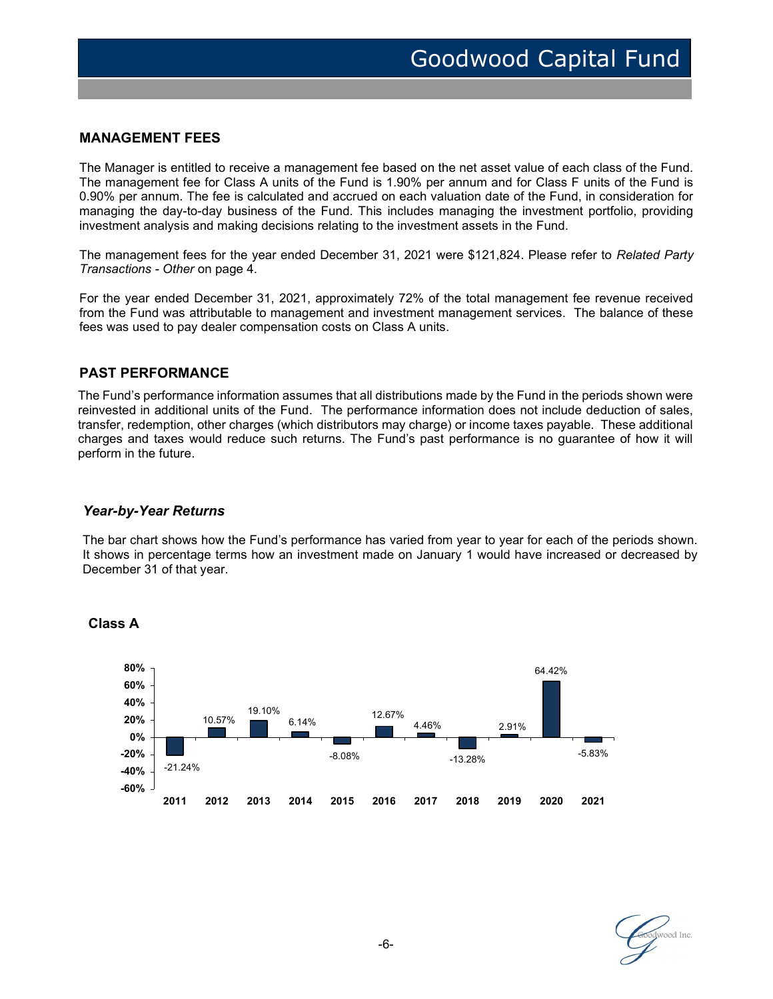### MANAGEMENT FEES

The Manager is entitled to receive a management fee based on the net asset value of each class of the Fund. The management fee for Class A units of the Fund is 1.90% per annum and for Class F units of the Fund is 0.90% per annum. The fee is calculated and accrued on each valuation date of the Fund, in consideration for managing the day-to-day business of the Fund. This includes managing the investment portfolio, providing investment analysis and making decisions relating to the investment assets in the Fund.

The management fees for the year ended December 31, 2021 were \$121,824. Please refer to Related Party Transactions - Other on page 4.

For the year ended December 31, 2021, approximately 72% of the total management fee revenue received from the Fund was attributable to management and investment management services. The balance of these fees was used to pay dealer compensation costs on Class A units.

#### PAST PERFORMANCE

The Fund's performance information assumes that all distributions made by the Fund in the periods shown were reinvested in additional units of the Fund. The performance information does not include deduction of sales, transfer, redemption, other charges (which distributors may charge) or income taxes payable. These additional charges and taxes would reduce such returns. The Fund's past performance is no guarantee of how it will perform in the future.

#### Year-by-Year Returns

The bar chart shows how the Fund's performance has varied from year to year for each of the periods shown. It shows in percentage terms how an investment made on January 1 would have increased or decreased by December 31 of that year.



#### Class A

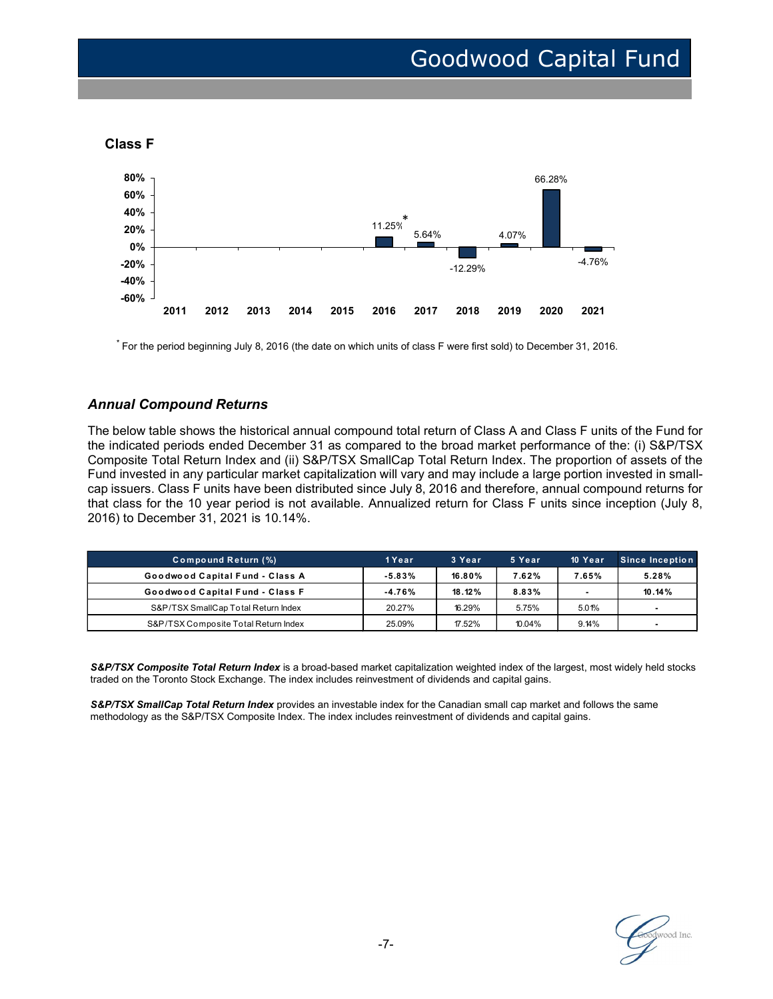



\* For the period beginning July 8, 2016 (the date on which units of class F were first sold) to December 31, 2016.

### Annual Compound Returns

 Fund invested in any particular market capitalization will vary and may include a large portion invested in small-The below table shows the historical annual compound total return of Class A and Class F units of the Fund for the indicated periods ended December 31 as compared to the broad market performance of the: (i) S&P/TSX Composite Total Return Index and (ii) S&P/TSX SmallCap Total Return Index. The proportion of assets of the cap issuers. Class F units have been distributed since July 8, 2016 and therefore, annual compound returns for that class for the 10 year period is not available. Annualized return for Class F units since inception (July 8, 2016)<br>
2016<br>
2016 Compound Returns<br>
2016 2017 2018 2016 2017 2018 2019 2020 2021<br>
12.29%.<br>
2011 2012 2013 2014 2015 2016 2017 2018 2019 2020 2021<br>
12.29%.<br>
2011 2012 2013 2014 2015 2016 2017 2018 2019 2020 2021<br>
12.29%.<br> -12.29% 4.76% 4.76% 4.76% 4.76% 4.76% 6.88 F were first sold) to December 31, 2016.<br>
Altis of class F were first sold) to December 31, 2016.<br>
Altis of class F were first sold) to December 31, 2016.<br>
Altig of the Fund for 12.29%  $4.76%$ <br>
16. 2017. 2018. 2019. 2020. 2021<br>
115 of class F were first sold) to December 31, 2016.<br>
115 of class F were first sold) to December 31, 2016.<br>
117 of the Fund for<br>
117 of the Broad market performance of t 20.27% 16.29% 16.29% 16.29% 16.29% 16.29% 16.29% 16.29% 16.29% 16.29% 16.29% 16.29% 16.29% 16.29% 17.29% 17.29% 17.29% 17.29% 17.29% 17.29% 17.29% 17.29% 17.29% 17.29% 17.29% 10.04% 9.2016 (the diale of mpo und Returns co 2011 2012 2013 2014 2015 2016 2017 2018 2019 2020 2021<br>
Repeated beginning July 8, 2016 (the date on which units of class F were first sold) to December 31, 2016.<br>
Compound Returns<br>
table shows the historical annual compo 2011 2012 2013 2014 2015 2016 2017 2018 2019 2020 2021<br>
2011 2012 2013 2014 2015 2016 2017 2018 2019 2020 2021<br>
Dependent Deginating July 8, 2016 (the date on which units of class F were first sold) to December 31, 2016.<br>

| <b>Compound Return (%)</b>           | '1 Year   | 3 Year | 5 Year | 10 Year | <b>Since Inception</b>   |
|--------------------------------------|-----------|--------|--------|---------|--------------------------|
| Goodwood Capital Fund - Class A      | $-5.83\%$ | 16.80% | 7.62%  | 7.65%   | 5.28%                    |
| Goodwood Capital Fund - Class F      | -4.76%    | 18.12% | 8.83%  |         | 10.14%                   |
| S&P/TSX SmallCap Total Return Index  | 20.27%    | 16.29% | 5.75%  | 5.01%   |                          |
| S&P/TSX Composite Total Return Index | 25.09%    | 17.52% | 10.04% | 9.14%   | $\overline{\phantom{a}}$ |

S&P/TSX Composite Total Return Index is a broad-based market capitalization weighted index of the largest, most widely held stocks traded on the Toronto Stock Exchange. The index includes reinvestment of dividends and capital gains.

S&P/TSX SmallCap Total Return Index provides an investable index for the Canadian small cap market and follows the same methodology as the S&P/TSX Composite Index. The index includes reinvestment of dividends and capital gains.

toodwood Inc.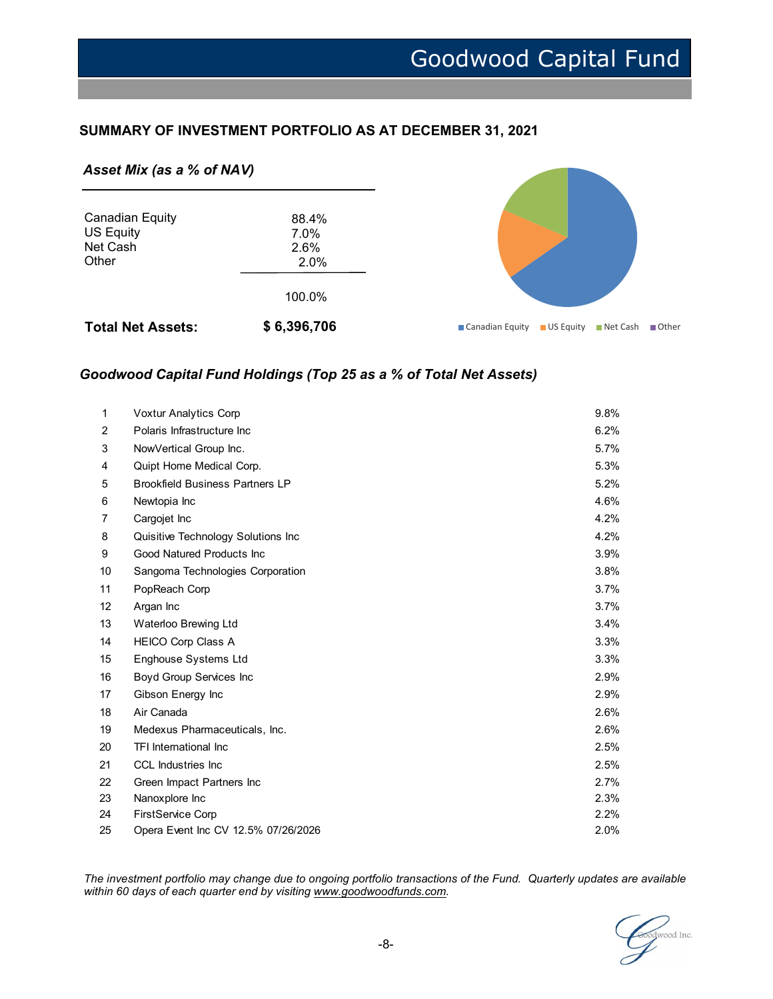## SUMMARY OF INVESTMENT PORTFOLIO AS AT DECEMBER 31, 2021

#### Asset Mix (as a % of NAV)



## Goodwood Capital Fund Holdings (Top 25 as a % of Total Net Assets)

| et Cash<br>ther |                                        | 2.6%<br>2.0%<br>100.0%                                            |                                                  |  |
|-----------------|----------------------------------------|-------------------------------------------------------------------|--------------------------------------------------|--|
|                 | otal Net Assets:                       | \$6,396,706                                                       | ■ Canadian Equity ■ US Equity ■ Net Cash ■ Other |  |
|                 |                                        | oodwood Capital Fund Holdings (Top 25 as a % of Total Net Assets) |                                                  |  |
| $\mathbf{1}$    | Voxtur Analytics Corp                  |                                                                   | 9.8%                                             |  |
| 2               | Polaris Infrastructure Inc             |                                                                   | 6.2%                                             |  |
| 3               | NowVertical Group Inc.                 |                                                                   | 5.7%                                             |  |
| 4               | Quipt Home Medical Corp.               |                                                                   | 5.3%                                             |  |
| 5               | <b>Brookfield Business Partners LP</b> |                                                                   | 5.2%                                             |  |
| 6               | Newtopia Inc                           |                                                                   | 4.6%                                             |  |
| 7               | Cargojet Inc                           |                                                                   | 4.2%                                             |  |
| 8               | Quisitive Technology Solutions Inc     |                                                                   | 4.2%                                             |  |
| 9               | Good Natured Products Inc              |                                                                   | 3.9%                                             |  |
| 10              | Sangoma Technologies Corporation       |                                                                   | 3.8%                                             |  |
| 11              | PopReach Corp                          |                                                                   | 3.7%                                             |  |
| 12              | Argan Inc                              |                                                                   | 3.7%                                             |  |
| 13              | Waterloo Brewing Ltd                   |                                                                   | 3.4%                                             |  |
| 14              | HEICO Corp Class A                     |                                                                   | 3.3%                                             |  |
| 15              | Enghouse Systems Ltd                   |                                                                   | 3.3%                                             |  |
| 16              | <b>Boyd Group Services Inc</b>         |                                                                   | 2.9%                                             |  |
| 17              | Gibson Energy Inc                      |                                                                   | 2.9%                                             |  |
| 18              | Air Canada                             |                                                                   | 2.6%                                             |  |
| 19              | Medexus Pharmaceuticals, Inc.          |                                                                   | 2.6%                                             |  |
| 20              | TFI International Inc                  |                                                                   | 2.5%                                             |  |
| 21              | CCL Industries Inc                     |                                                                   | 2.5%                                             |  |
| 22              | Green Impact Partners Inc              |                                                                   | 2.7%                                             |  |
| 23              | Nanoxplore Inc                         |                                                                   | 2.3%                                             |  |
| 24              | FirstService Corp                      |                                                                   | 2.2%                                             |  |
| 25              |                                        | Opera Event Inc CV 12.5% 07/26/2026                               | 2.0%                                             |  |